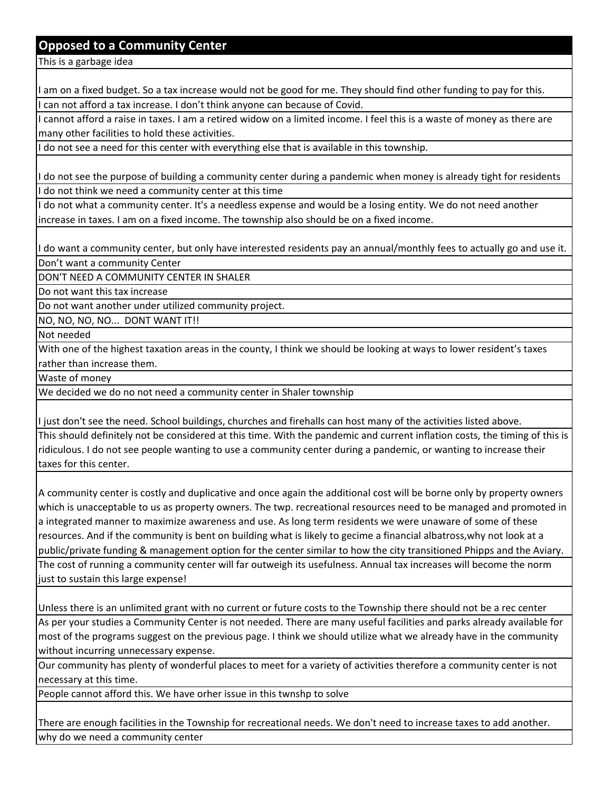## **Opposed to a Community Center**

This is a garbage idea

I am on a fixed budget. So a tax increase would not be good for me. They should find other funding to pay for this. can not afford a tax increase. I don't think anyone can because of Covid.

cannot afford a raise in taxes. I am a retired widow on a limited income. I feel this is a waste of money as there are many other facilities to hold these activities.

I do not see a need for this center with everything else that is available in this township.

do not see the purpose of building a community center during a pandemic when money is already tight for residents do not think we need a community center at this time

I do not what a community center. It's a needless expense and would be a losing entity. We do not need another increase in taxes. I am on a fixed income. The township also should be on a fixed income.

I do want a community center, but only have interested residents pay an annual/monthly fees to actually go and use it.

Don't want a community Center

DON'T NEED A COMMUNITY CENTER IN SHALER

Do not want this tax increase

Do not want another under utilized community project.

NO, NO, NO, NO... DONT WANT IT!!

Not needed

With one of the highest taxation areas in the county, I think we should be looking at ways to lower resident's taxes rather than increase them.

Waste of money

We decided we do no not need a community center in Shaler township

I just don't see the need. School buildings, churches and firehalls can host many of the activities listed above.

This should definitely not be considered at this time. With the pandemic and current inflation costs, the timing of this is ridiculous. I do not see people wanting to use a community center during a pandemic, or wanting to increase their taxes for this center.

A community center is costly and duplicative and once again the additional cost will be borne only by property owners which is unacceptable to us as property owners. The twp. recreational resources need to be managed and promoted in a integrated manner to maximize awareness and use. As long term residents we were unaware of some of these resources. And if the community is bent on building what is likely to gecime a financial albatross,why not look at a public/private funding & management option for the center similar to how the city transitioned Phipps and the Aviary. The cost of running a community center will far outweigh its usefulness. Annual tax increases will become the norm just to sustain this large expense!

Unless there is an unlimited grant with no current or future costs to the Township there should not be a rec center

As per your studies a Community Center is not needed. There are many useful facilities and parks already available for most of the programs suggest on the previous page. I think we should utilize what we already have in the community without incurring unnecessary expense.

Our community has plenty of wonderful places to meet for a variety of activities therefore a community center is not necessary at this time.

People cannot afford this. We have orher issue in this twnshp to solve

There are enough facilities in the Township for recreational needs. We don't need to increase taxes to add another. why do we need a community center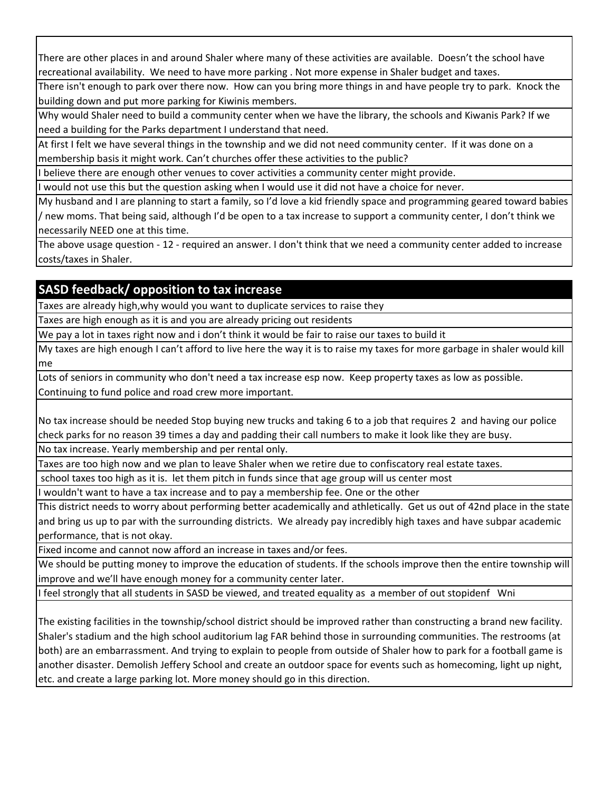There are other places in and around Shaler where many of these activities are available. Doesn't the school have recreational availability. We need to have more parking . Not more expense in Shaler budget and taxes.

There isn't enough to park over there now. How can you bring more things in and have people try to park. Knock the building down and put more parking for Kiwinis members.

Why would Shaler need to build a community center when we have the library, the schools and Kiwanis Park? If we need a building for the Parks department I understand that need.

At first I felt we have several things in the township and we did not need community center. If it was done on a membership basis it might work. Can't churches offer these activities to the public?

I believe there are enough other venues to cover activities a community center might provide.

I would not use this but the question asking when I would use it did not have a choice for never.

My husband and I are planning to start a family, so I'd love a kid friendly space and programming geared toward babies / new moms. That being said, although I'd be open to a tax increase to support a community center, I don't think we necessarily NEED one at this time.

The above usage question - 12 - required an answer. I don't think that we need a community center added to increase costs/taxes in Shaler.

# **SASD feedback/ opposition to tax increase**

Taxes are already high,why would you want to duplicate services to raise they

Taxes are high enough as it is and you are already pricing out residents

We pay a lot in taxes right now and i don't think it would be fair to raise our taxes to build it

My taxes are high enough I can't afford to live here the way it is to raise my taxes for more garbage in shaler would kill me

Lots of seniors in community who don't need a tax increase esp now. Keep property taxes as low as possible. Continuing to fund police and road crew more important.

No tax increase should be needed Stop buying new trucks and taking 6 to a job that requires 2 and having our police check parks for no reason 39 times a day and padding their call numbers to make it look like they are busy.

No tax increase. Yearly membership and per rental only.

Taxes are too high now and we plan to leave Shaler when we retire due to confiscatory real estate taxes.

school taxes too high as it is. let them pitch in funds since that age group will us center most

wouldn't want to have a tax increase and to pay a membership fee. One or the other

This district needs to worry about performing better academically and athletically. Get us out of 42nd place in the state and bring us up to par with the surrounding districts. We already pay incredibly high taxes and have subpar academic performance, that is not okay.

Fixed income and cannot now afford an increase in taxes and/or fees.

We should be putting money to improve the education of students. If the schools improve then the entire township will improve and we'll have enough money for a community center later.

I feel strongly that all students in SASD be viewed, and treated equality as a member of out stopidenf Wni

The existing facilities in the township/school district should be improved rather than constructing a brand new facility. Shaler's stadium and the high school auditorium lag FAR behind those in surrounding communities. The restrooms (at both) are an embarrassment. And trying to explain to people from outside of Shaler how to park for a football game is another disaster. Demolish Jeffery School and create an outdoor space for events such as homecoming, light up night, etc. and create a large parking lot. More money should go in this direction.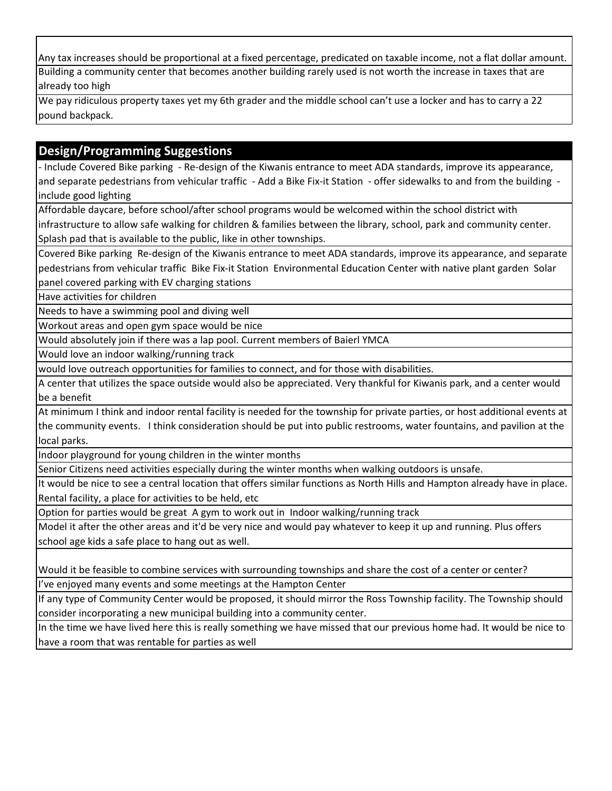Any tax increases should be proportional at a fixed percentage, predicated on taxable income, not a flat dollar amount. Building a community center that becomes another building rarely used is not worth the increase in taxes that are already too high

We pay ridiculous property taxes yet my 6th grader and the middle school can't use a locker and has to carry a 22 pound backpack.

# **Design/Programming Suggestions**

- Include Covered Bike parking - Re-design of the Kiwanis entrance to meet ADA standards, improve its appearance, and separate pedestrians from vehicular traffic - Add a Bike Fix-it Station - offer sidewalks to and from the building include good lighting

Affordable daycare, before school/after school programs would be welcomed within the school district with

infrastructure to allow safe walking for children & families between the library, school, park and community center. Splash pad that is available to the public, like in other townships.

Covered Bike parking Re-design of the Kiwanis entrance to meet ADA standards, improve its appearance, and separate pedestrians from vehicular traffic Bike Fix-it Station Environmental Education Center with native plant garden Solar

panel covered parking with EV charging stations

Have activities for children

Needs to have a swimming pool and diving well

Workout areas and open gym space would be nice

Would absolutely join if there was a lap pool. Current members of Baierl YMCA

Would love an indoor walking/running track

would love outreach opportunities for families to connect, and for those with disabilities.

A center that utilizes the space outside would also be appreciated. Very thankful for Kiwanis park, and a center would be a benefit

At minimum I think and indoor rental facility is needed for the township for private parties, or host additional events at the community events. I think consideration should be put into public restrooms, water fountains, and pavilion at the local parks.

Indoor playground for young children in the winter months

Senior Citizens need activities especially during the winter months when walking outdoors is unsafe.

It would be nice to see a central location that offers similar functions as North Hills and Hampton already have in place. Rental facility, a place for activities to be held, etc

Option for parties would be great A gym to work out in Indoor walking/running track

Model it after the other areas and it'd be very nice and would pay whatever to keep it up and running. Plus offers school age kids a safe place to hang out as well.

Would it be feasible to combine services with surrounding townships and share the cost of a center or center?

I've enjoyed many events and some meetings at the Hampton Center

If any type of Community Center would be proposed, it should mirror the Ross Township facility. The Township should consider incorporating a new municipal building into a community center.

In the time we have lived here this is really something we have missed that our previous home had. It would be nice to have a room that was rentable for parties as well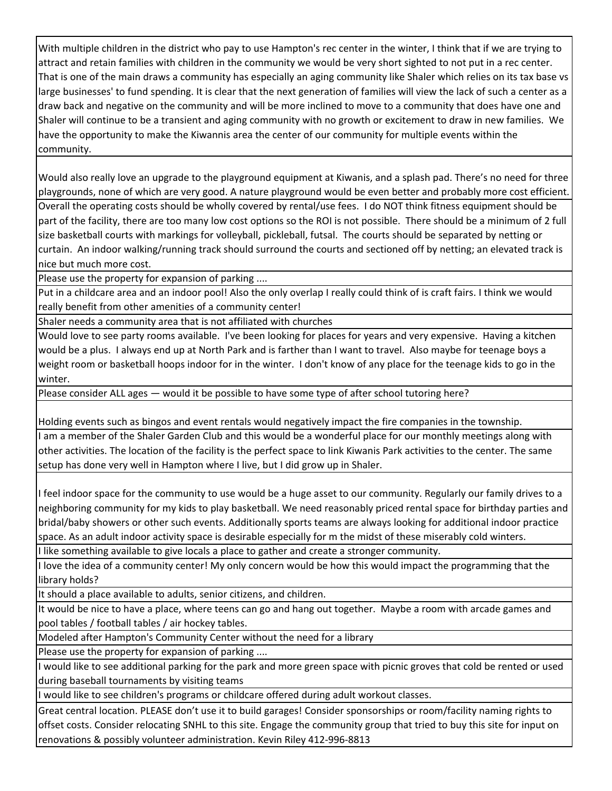With multiple children in the district who pay to use Hampton's rec center in the winter, I think that if we are trying to attract and retain families with children in the community we would be very short sighted to not put in a rec center. That is one of the main draws a community has especially an aging community like Shaler which relies on its tax base vs large businesses' to fund spending. It is clear that the next generation of families will view the lack of such a center as a draw back and negative on the community and will be more inclined to move to a community that does have one and Shaler will continue to be a transient and aging community with no growth or excitement to draw in new families. We have the opportunity to make the Kiwannis area the center of our community for multiple events within the community.

Would also really love an upgrade to the playground equipment at Kiwanis, and a splash pad. There's no need for three playgrounds, none of which are very good. A nature playground would be even better and probably more cost efficient. Overall the operating costs should be wholly covered by rental/use fees. I do NOT think fitness equipment should be part of the facility, there are too many low cost options so the ROI is not possible. There should be a minimum of 2 full size basketball courts with markings for volleyball, pickleball, futsal. The courts should be separated by netting or curtain. An indoor walking/running track should surround the courts and sectioned off by netting; an elevated track is nice but much more cost.

Please use the property for expansion of parking ....

Put in a childcare area and an indoor pool! Also the only overlap I really could think of is craft fairs. I think we would really benefit from other amenities of a community center!

Shaler needs a community area that is not affiliated with churches

Would love to see party rooms available. I've been looking for places for years and very expensive. Having a kitchen would be a plus. I always end up at North Park and is farther than I want to travel. Also maybe for teenage boys a weight room or basketball hoops indoor for in the winter. I don't know of any place for the teenage kids to go in the winter.

Please consider ALL ages — would it be possible to have some type of after school tutoring here?

Holding events such as bingos and event rentals would negatively impact the fire companies in the township.

I am a member of the Shaler Garden Club and this would be a wonderful place for our monthly meetings along with other activities. The location of the facility is the perfect space to link Kiwanis Park activities to the center. The same setup has done very well in Hampton where I live, but I did grow up in Shaler.

I feel indoor space for the community to use would be a huge asset to our community. Regularly our family drives to a neighboring community for my kids to play basketball. We need reasonably priced rental space for birthday parties and bridal/baby showers or other such events. Additionally sports teams are always looking for additional indoor practice space. As an adult indoor activity space is desirable especially for m the midst of these miserably cold winters.

I like something available to give locals a place to gather and create a stronger community.

I love the idea of a community center! My only concern would be how this would impact the programming that the library holds?

It should a place available to adults, senior citizens, and children.

It would be nice to have a place, where teens can go and hang out together. Maybe a room with arcade games and pool tables / football tables / air hockey tables.

Modeled after Hampton's Community Center without the need for a library

Please use the property for expansion of parking ....

I would like to see additional parking for the park and more green space with picnic groves that cold be rented or used during baseball tournaments by visiting teams

would like to see children's programs or childcare offered during adult workout classes.

Great central location. PLEASE don't use it to build garages! Consider sponsorships or room/facility naming rights to offset costs. Consider relocating SNHL to this site. Engage the community group that tried to buy this site for input on renovations & possibly volunteer administration. Kevin Riley 412-996-8813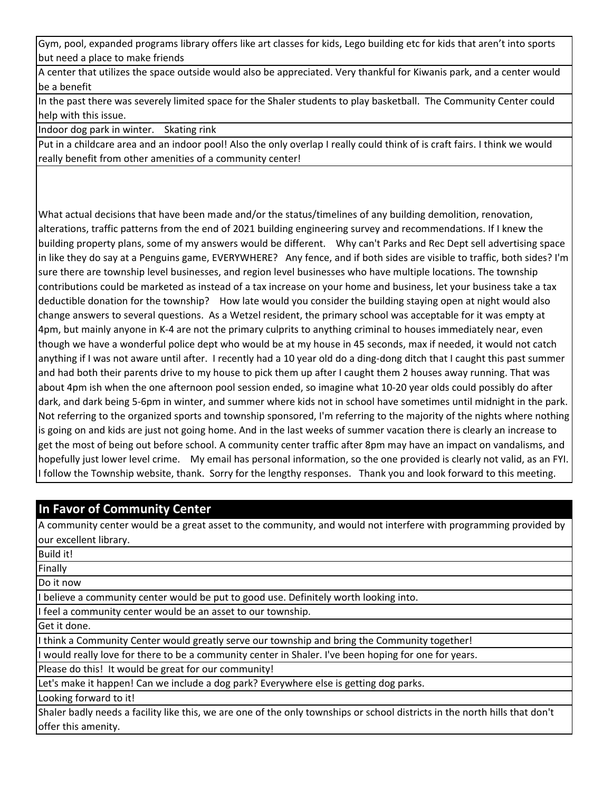Gym, pool, expanded programs library offers like art classes for kids, Lego building etc for kids that aren't into sports but need a place to make friends

A center that utilizes the space outside would also be appreciated. Very thankful for Kiwanis park, and a center would be a benefit

In the past there was severely limited space for the Shaler students to play basketball. The Community Center could help with this issue.

Indoor dog park in winter. Skating rink

Put in a childcare area and an indoor pool! Also the only overlap I really could think of is craft fairs. I think we would really benefit from other amenities of a community center!

What actual decisions that have been made and/or the status/timelines of any building demolition, renovation, alterations, traffic patterns from the end of 2021 building engineering survey and recommendations. If I knew the building property plans, some of my answers would be different. Why can't Parks and Rec Dept sell advertising space in like they do say at a Penguins game, EVERYWHERE? Any fence, and if both sides are visible to traffic, both sides? I'm sure there are township level businesses, and region level businesses who have multiple locations. The township contributions could be marketed as instead of a tax increase on your home and business, let your business take a tax deductible donation for the township? How late would you consider the building staying open at night would also change answers to several questions. As a Wetzel resident, the primary school was acceptable for it was empty at 4pm, but mainly anyone in K-4 are not the primary culprits to anything criminal to houses immediately near, even though we have a wonderful police dept who would be at my house in 45 seconds, max if needed, it would not catch anything if I was not aware until after. I recently had a 10 year old do a ding-dong ditch that I caught this past summer and had both their parents drive to my house to pick them up after I caught them 2 houses away running. That was about 4pm ish when the one afternoon pool session ended, so imagine what 10-20 year olds could possibly do after dark, and dark being 5-6pm in winter, and summer where kids not in school have sometimes until midnight in the park. Not referring to the organized sports and township sponsored, I'm referring to the majority of the nights where nothing is going on and kids are just not going home. And in the last weeks of summer vacation there is clearly an increase to get the most of being out before school. A community center traffic after 8pm may have an impact on vandalisms, and hopefully just lower level crime. My email has personal information, so the one provided is clearly not valid, as an FYI. I follow the Township website, thank. Sorry for the lengthy responses. Thank you and look forward to this meeting.

## **In Favor of Community Center**

Build it!

offer this amenity.

A community center would be a great asset to the community, and would not interfere with programming provided by our excellent library.

| 1 DUIIU 1 L.                                                                                                                |
|-----------------------------------------------------------------------------------------------------------------------------|
| Finally                                                                                                                     |
| Do it now                                                                                                                   |
| I believe a community center would be put to good use. Definitely worth looking into.                                       |
| I feel a community center would be an asset to our township.                                                                |
| Get it done.                                                                                                                |
| I think a Community Center would greatly serve our township and bring the Community together!                               |
| I would really love for there to be a community center in Shaler. I've been hoping for one for years.                       |
| Please do this! It would be great for our community!                                                                        |
| Let's make it happen! Can we include a dog park? Everywhere else is getting dog parks.                                      |
| Looking forward to it!                                                                                                      |
| Shaler badly needs a facility like this, we are one of the only townships or school districts in the north hills that don't |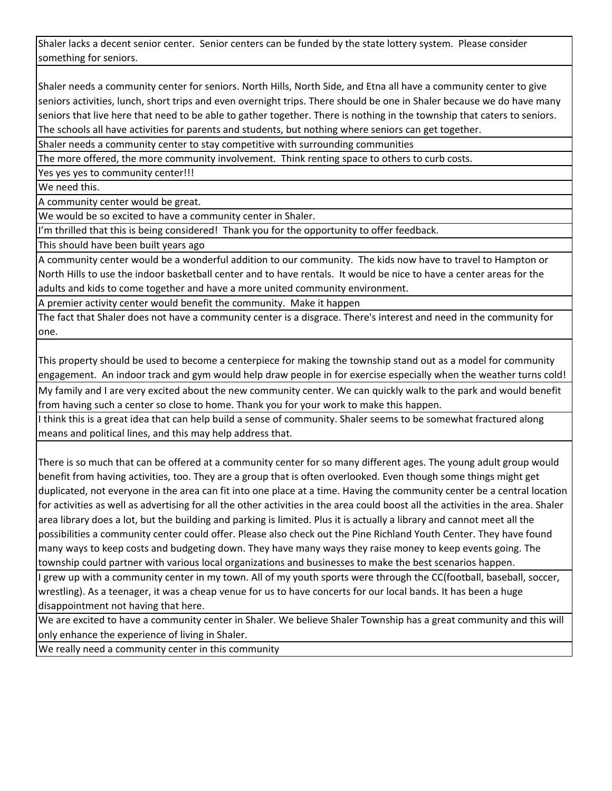Shaler lacks a decent senior center. Senior centers can be funded by the state lottery system. Please consider something for seniors.

Shaler needs a community center for seniors. North Hills, North Side, and Etna all have a community center to give seniors activities, lunch, short trips and even overnight trips. There should be one in Shaler because we do have many seniors that live here that need to be able to gather together. There is nothing in the township that caters to seniors. The schools all have activities for parents and students, but nothing where seniors can get together.

Shaler needs a community center to stay competitive with surrounding communities

The more offered, the more community involvement. Think renting space to others to curb costs.

Yes yes yes to community center!!!

We need this.

A community center would be great.

We would be so excited to have a community center in Shaler.

I'm thrilled that this is being considered! Thank you for the opportunity to offer feedback.

This should have been built years ago

A community center would be a wonderful addition to our community. The kids now have to travel to Hampton or North Hills to use the indoor basketball center and to have rentals. It would be nice to have a center areas for the adults and kids to come together and have a more united community environment.

A premier activity center would benefit the community. Make it happen

The fact that Shaler does not have a community center is a disgrace. There's interest and need in the community for one.

This property should be used to become a centerpiece for making the township stand out as a model for community engagement. An indoor track and gym would help draw people in for exercise especially when the weather turns cold!

My family and I are very excited about the new community center. We can quickly walk to the park and would benefit from having such a center so close to home. Thank you for your work to make this happen.

I think this is a great idea that can help build a sense of community. Shaler seems to be somewhat fractured along means and political lines, and this may help address that.

There is so much that can be offered at a community center for so many different ages. The young adult group would benefit from having activities, too. They are a group that is often overlooked. Even though some things might get duplicated, not everyone in the area can fit into one place at a time. Having the community center be a central location for activities as well as advertising for all the other activities in the area could boost all the activities in the area. Shaler area library does a lot, but the building and parking is limited. Plus it is actually a library and cannot meet all the possibilities a community center could offer. Please also check out the Pine Richland Youth Center. They have found many ways to keep costs and budgeting down. They have many ways they raise money to keep events going. The township could partner with various local organizations and businesses to make the best scenarios happen.

I grew up with a community center in my town. All of my youth sports were through the CC(football, baseball, soccer, wrestling). As a teenager, it was a cheap venue for us to have concerts for our local bands. It has been a huge disappointment not having that here.

We are excited to have a community center in Shaler. We believe Shaler Township has a great community and this will only enhance the experience of living in Shaler.

We really need a community center in this community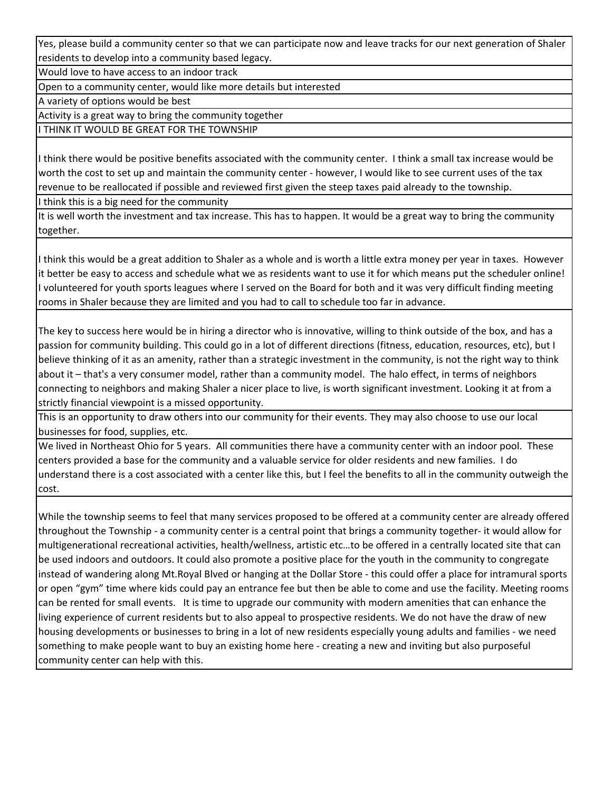Yes, please build a community center so that we can participate now and leave tracks for our next generation of Shaler residents to develop into a community based legacy.

Would love to have access to an indoor track

Open to a community center, would like more details but interested

A variety of options would be best

Activity is a great way to bring the community together

I THINK IT WOULD BE GREAT FOR THE TOWNSHIP

I think there would be positive benefits associated with the community center. I think a small tax increase would be worth the cost to set up and maintain the community center - however, I would like to see current uses of the tax revenue to be reallocated if possible and reviewed first given the steep taxes paid already to the township.

I think this is a big need for the community

It is well worth the investment and tax increase. This has to happen. It would be a great way to bring the community together.

I think this would be a great addition to Shaler as a whole and is worth a little extra money per year in taxes. However it better be easy to access and schedule what we as residents want to use it for which means put the scheduler online! I volunteered for youth sports leagues where I served on the Board for both and it was very difficult finding meeting rooms in Shaler because they are limited and you had to call to schedule too far in advance.

The key to success here would be in hiring a director who is innovative, willing to think outside of the box, and has a passion for community building. This could go in a lot of different directions (fitness, education, resources, etc), but I believe thinking of it as an amenity, rather than a strategic investment in the community, is not the right way to think about it – that's a very consumer model, rather than a community model. The halo effect, in terms of neighbors connecting to neighbors and making Shaler a nicer place to live, is worth significant investment. Looking it at from a strictly financial viewpoint is a missed opportunity.

This is an opportunity to draw others into our community for their events. They may also choose to use our local businesses for food, supplies, etc.

We lived in Northeast Ohio for 5 years. All communities there have a community center with an indoor pool. These centers provided a base for the community and a valuable service for older residents and new families. I do understand there is a cost associated with a center like this, but I feel the benefits to all in the community outweigh the cost.

While the township seems to feel that many services proposed to be offered at a community center are already offered throughout the Township - a community center is a central point that brings a community together- it would allow for multigenerational recreational activities, health/wellness, artistic etc…to be offered in a centrally located site that can be used indoors and outdoors. It could also promote a positive place for the youth in the community to congregate instead of wandering along Mt.Royal Blved or hanging at the Dollar Store - this could offer a place for intramural sports or open "gym" time where kids could pay an entrance fee but then be able to come and use the facility. Meeting rooms can be rented for small events. It is time to upgrade our community with modern amenities that can enhance the living experience of current residents but to also appeal to prospective residents. We do not have the draw of new housing developments or businesses to bring in a lot of new residents especially young adults and families - we need something to make people want to buy an existing home here - creating a new and inviting but also purposeful community center can help with this.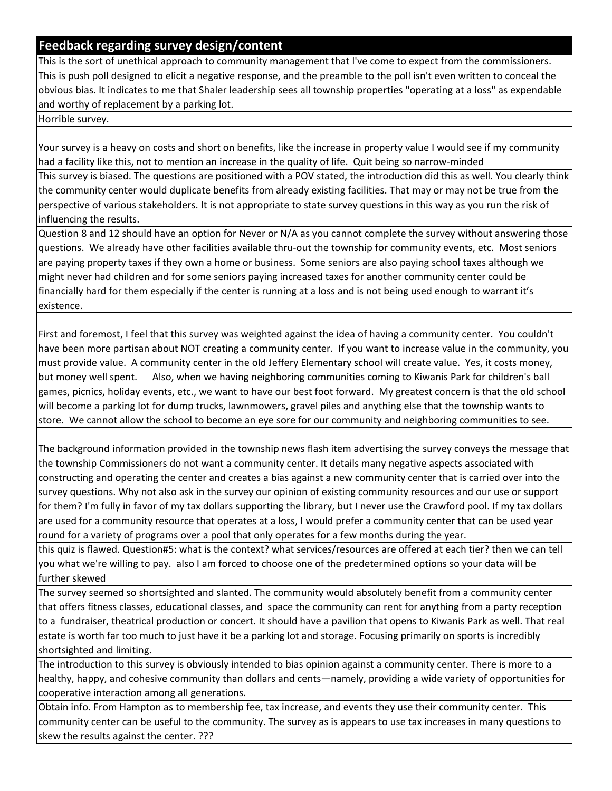## **Feedback regarding survey design/content**

This is the sort of unethical approach to community management that I've come to expect from the commissioners. This is push poll designed to elicit a negative response, and the preamble to the poll isn't even written to conceal the obvious bias. It indicates to me that Shaler leadership sees all township properties "operating at a loss" as expendable and worthy of replacement by a parking lot.

Horrible survey.

Your survey is a heavy on costs and short on benefits, like the increase in property value I would see if my community had a facility like this, not to mention an increase in the quality of life. Quit being so narrow-minded

This survey is biased. The questions are positioned with a POV stated, the introduction did this as well. You clearly think the community center would duplicate benefits from already existing facilities. That may or may not be true from the perspective of various stakeholders. It is not appropriate to state survey questions in this way as you run the risk of influencing the results.

Question 8 and 12 should have an option for Never or N/A as you cannot complete the survey without answering those questions. We already have other facilities available thru-out the township for community events, etc. Most seniors are paying property taxes if they own a home or business. Some seniors are also paying school taxes although we might never had children and for some seniors paying increased taxes for another community center could be financially hard for them especially if the center is running at a loss and is not being used enough to warrant it's existence.

First and foremost, I feel that this survey was weighted against the idea of having a community center. You couldn't have been more partisan about NOT creating a community center. If you want to increase value in the community, you must provide value. A community center in the old Jeffery Elementary school will create value. Yes, it costs money, but money well spent. Also, when we having neighboring communities coming to Kiwanis Park for children's ball games, picnics, holiday events, etc., we want to have our best foot forward. My greatest concern is that the old school will become a parking lot for dump trucks, lawnmowers, gravel piles and anything else that the township wants to store. We cannot allow the school to become an eye sore for our community and neighboring communities to see.

The background information provided in the township news flash item advertising the survey conveys the message that the township Commissioners do not want a community center. It details many negative aspects associated with constructing and operating the center and creates a bias against a new community center that is carried over into the survey questions. Why not also ask in the survey our opinion of existing community resources and our use or support for them? I'm fully in favor of my tax dollars supporting the library, but I never use the Crawford pool. If my tax dollars are used for a community resource that operates at a loss, I would prefer a community center that can be used year round for a variety of programs over a pool that only operates for a few months during the year.

this quiz is flawed. Question#5: what is the context? what services/resources are offered at each tier? then we can tell you what we're willing to pay. also I am forced to choose one of the predetermined options so your data will be further skewed

The survey seemed so shortsighted and slanted. The community would absolutely benefit from a community center that offers fitness classes, educational classes, and space the community can rent for anything from a party reception to a fundraiser, theatrical production or concert. It should have a pavilion that opens to Kiwanis Park as well. That real estate is worth far too much to just have it be a parking lot and storage. Focusing primarily on sports is incredibly shortsighted and limiting.

The introduction to this survey is obviously intended to bias opinion against a community center. There is more to a healthy, happy, and cohesive community than dollars and cents—namely, providing a wide variety of opportunities for cooperative interaction among all generations.

Obtain info. From Hampton as to membership fee, tax increase, and events they use their community center. This community center can be useful to the community. The survey as is appears to use tax increases in many questions to skew the results against the center. ???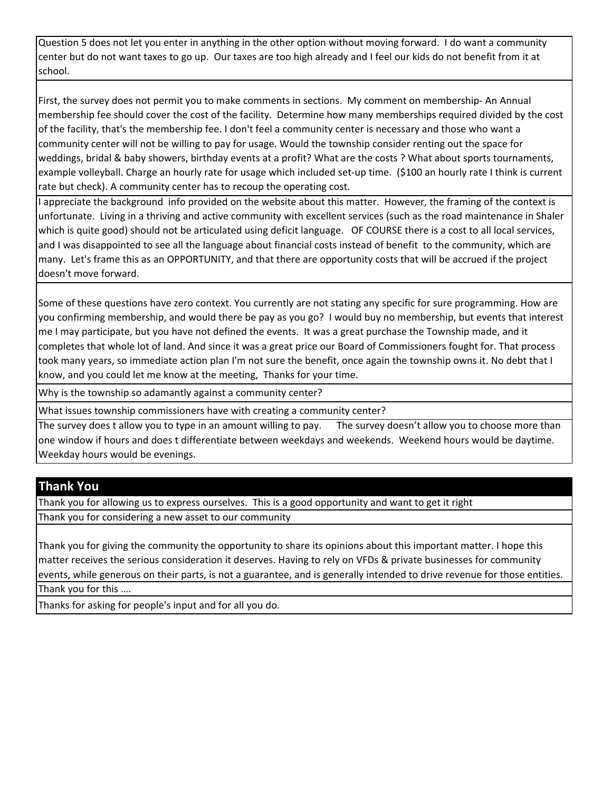Question 5 does not let you enter in anything in the other option without moving forward. I do want a community center but do not want taxes to go up. Our taxes are too high already and I feel our kids do not benefit from it at school.

First, the survey does not permit you to make comments in sections. My comment on membership- An Annual membership fee should cover the cost of the facility. Determine how many memberships required divided by the cost of the facility, that's the membership fee. I don't feel a community center is necessary and those who want a community center will not be willing to pay for usage. Would the township consider renting out the space for weddings, bridal & baby showers, birthday events at a profit? What are the costs ? What about sports tournaments, example volleyball. Charge an hourly rate for usage which included set-up time. (\$100 an hourly rate I think is current rate but check). A community center has to recoup the operating cost.

I appreciate the background info provided on the website about this matter. However, the framing of the context is unfortunate. Living in a thriving and active community with excellent services (such as the road maintenance in Shaler which is quite good) should not be articulated using deficit language. OF COURSE there is a cost to all local services, and I was disappointed to see all the language about financial costs instead of benefit to the community, which are many. Let's frame this as an OPPORTUNITY, and that there are opportunity costs that will be accrued if the project doesn't move forward.

Some of these questions have zero context. You currently are not stating any specific for sure programming. How are you confirming membership, and would there be pay as you go? I would buy no membership, but events that interest me I may participate, but you have not defined the events. It was a great purchase the Township made, and it completes that whole lot of land. And since it was a great price our Board of Commissioners fought for. That process took many years, so immediate action plan I'm not sure the benefit, once again the township owns it. No debt that I know, and you could let me know at the meeting, Thanks for your time.

Why is the township so adamantly against a community center?

What issues township commissioners have with creating a community center?

The survey does t allow you to type in an amount willing to pay. The survey doesn't allow you to choose more than one window if hours and does t differentiate between weekdays and weekends. Weekend hours would be daytime. Weekday hours would be evenings.

## **Thank You**

Thank you for allowing us to express ourselves. This is a good opportunity and want to get it right Thank you for considering a new asset to our community

Thank you for giving the community the opportunity to share its opinions about this important matter. I hope this matter receives the serious consideration it deserves. Having to rely on VFDs & private businesses for community events, while generous on their parts, is not a guarantee, and is generally intended to drive revenue for those entities. Thank you for this ….

Thanks for asking for people's input and for all you do.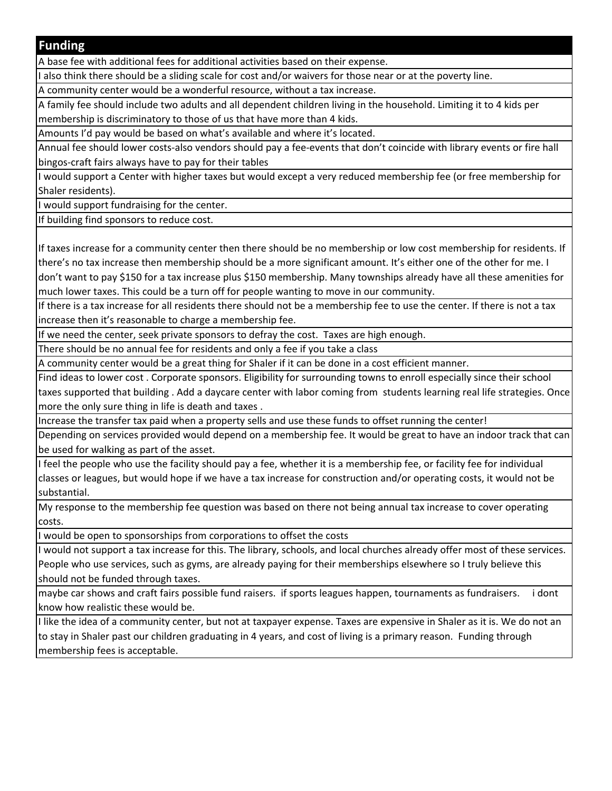#### **Funding**

A base fee with additional fees for additional activities based on their expense.

also think there should be a sliding scale for cost and/or waivers for those near or at the poverty line.

A community center would be a wonderful resource, without a tax increase.

A family fee should include two adults and all dependent children living in the household. Limiting it to 4 kids per membership is discriminatory to those of us that have more than 4 kids.

Amounts I'd pay would be based on what's available and where it's located.

Annual fee should lower costs-also vendors should pay a fee-events that don't coincide with library events or fire hall bingos-craft fairs always have to pay for their tables

I would support a Center with higher taxes but would except a very reduced membership fee (or free membership for Shaler residents).

I would support fundraising for the center.

If building find sponsors to reduce cost.

If taxes increase for a community center then there should be no membership or low cost membership for residents. If there's no tax increase then membership should be a more significant amount. It's either one of the other for me. I don't want to pay \$150 for a tax increase plus \$150 membership. Many townships already have all these amenities for much lower taxes. This could be a turn off for people wanting to move in our community.

If there is a tax increase for all residents there should not be a membership fee to use the center. If there is not a tax increase then it's reasonable to charge a membership fee.

If we need the center, seek private sponsors to defray the cost. Taxes are high enough.

There should be no annual fee for residents and only a fee if you take a class

A community center would be a great thing for Shaler if it can be done in a cost efficient manner.

Find ideas to lower cost . Corporate sponsors. Eligibility for surrounding towns to enroll especially since their school taxes supported that building . Add a daycare center with labor coming from students learning real life strategies. Once more the only sure thing in life is death and taxes .

Increase the transfer tax paid when a property sells and use these funds to offset running the center!

Depending on services provided would depend on a membership fee. It would be great to have an indoor track that can be used for walking as part of the asset.

I feel the people who use the facility should pay a fee, whether it is a membership fee, or facility fee for individual classes or leagues, but would hope if we have a tax increase for construction and/or operating costs, it would not be substantial.

My response to the membership fee question was based on there not being annual tax increase to cover operating costs.

I would be open to sponsorships from corporations to offset the costs

I would not support a tax increase for this. The library, schools, and local churches already offer most of these services. People who use services, such as gyms, are already paying for their memberships elsewhere so I truly believe this should not be funded through taxes.

maybe car shows and craft fairs possible fund raisers. if sports leagues happen, tournaments as fundraisers. i dont know how realistic these would be.

I like the idea of a community center, but not at taxpayer expense. Taxes are expensive in Shaler as it is. We do not an to stay in Shaler past our children graduating in 4 years, and cost of living is a primary reason. Funding through membership fees is acceptable.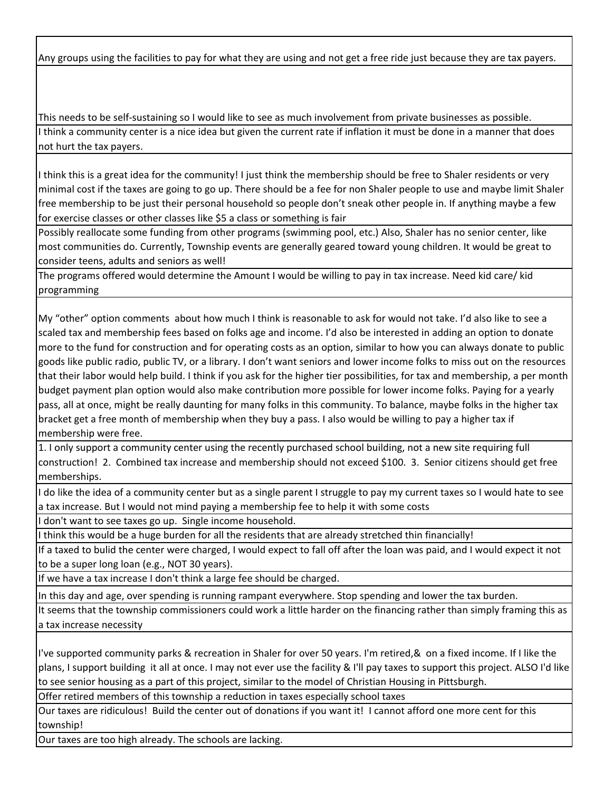Any groups using the facilities to pay for what they are using and not get a free ride just because they are tax payers.

This needs to be self-sustaining so I would like to see as much involvement from private businesses as possible. I think a community center is a nice idea but given the current rate if inflation it must be done in a manner that does not hurt the tax payers.

I think this is a great idea for the community! I just think the membership should be free to Shaler residents or very minimal cost if the taxes are going to go up. There should be a fee for non Shaler people to use and maybe limit Shaler free membership to be just their personal household so people don't sneak other people in. If anything maybe a few for exercise classes or other classes like \$5 a class or something is fair

Possibly reallocate some funding from other programs (swimming pool, etc.) Also, Shaler has no senior center, like most communities do. Currently, Township events are generally geared toward young children. It would be great to consider teens, adults and seniors as well!

The programs offered would determine the Amount I would be willing to pay in tax increase. Need kid care/ kid programming

My "other" option comments about how much I think is reasonable to ask for would not take. I'd also like to see a scaled tax and membership fees based on folks age and income. I'd also be interested in adding an option to donate more to the fund for construction and for operating costs as an option, similar to how you can always donate to public goods like public radio, public TV, or a library. I don't want seniors and lower income folks to miss out on the resources that their labor would help build. I think if you ask for the higher tier possibilities, for tax and membership, a per month budget payment plan option would also make contribution more possible for lower income folks. Paying for a yearly pass, all at once, might be really daunting for many folks in this community. To balance, maybe folks in the higher tax bracket get a free month of membership when they buy a pass. I also would be willing to pay a higher tax if membership were free.

1. I only support a community center using the recently purchased school building, not a new site requiring full construction! 2. Combined tax increase and membership should not exceed \$100. 3. Senior citizens should get free memberships.

I do like the idea of a community center but as a single parent I struggle to pay my current taxes so I would hate to see a tax increase. But I would not mind paying a membership fee to help it with some costs

I don't want to see taxes go up. Single income household.

I think this would be a huge burden for all the residents that are already stretched thin financially!

If a taxed to bulid the center were charged, I would expect to fall off after the loan was paid, and I would expect it not to be a super long loan (e.g., NOT 30 years).

If we have a tax increase I don't think a large fee should be charged.

In this day and age, over spending is running rampant everywhere. Stop spending and lower the tax burden.

It seems that the township commissioners could work a little harder on the financing rather than simply framing this as a tax increase necessity

I've supported community parks & recreation in Shaler for over 50 years. I'm retired,& on a fixed income. If I like the plans, I support building it all at once. I may not ever use the facility & I'll pay taxes to support this project. ALSO I'd like to see senior housing as a part of this project, similar to the model of Christian Housing in Pittsburgh.

Offer retired members of this township a reduction in taxes especially school taxes

Our taxes are ridiculous! Build the center out of donations if you want it! I cannot afford one more cent for this township!

Our taxes are too high already. The schools are lacking.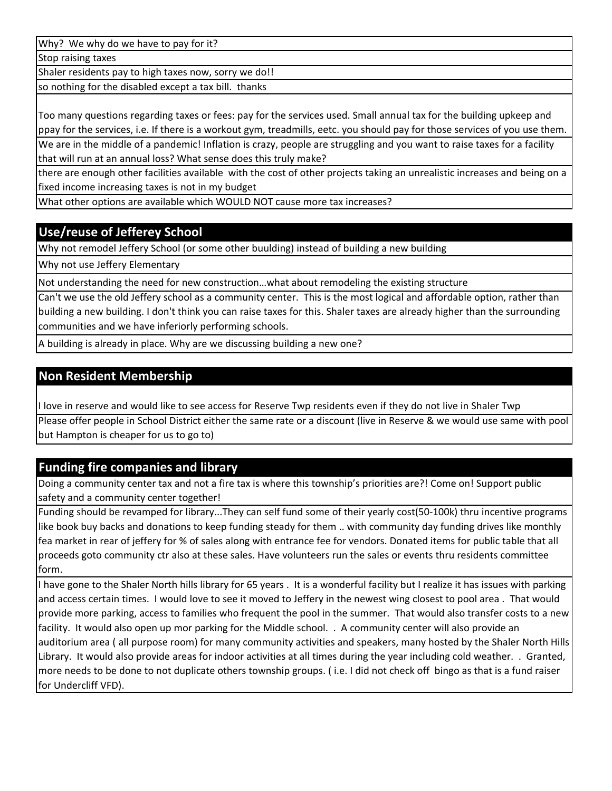Why? We why do we have to pay for it?

Stop raising taxes

Shaler residents pay to high taxes now, sorry we do!!

so nothing for the disabled except a tax bill. thanks

Too many questions regarding taxes or fees: pay for the services used. Small annual tax for the building upkeep and ppay for the services, i.e. If there is a workout gym, treadmills, eetc. you should pay for those services of you use them. We are in the middle of a pandemic! Inflation is crazy, people are struggling and you want to raise taxes for a facility that will run at an annual loss? What sense does this truly make?

there are enough other facilities available with the cost of other projects taking an unrealistic increases and being on a fixed income increasing taxes is not in my budget

What other options are available which WOULD NOT cause more tax increases?

# **Use/reuse of Jefferey School**

Why not remodel Jeffery School (or some other buulding) instead of building a new building

Why not use Jeffery Elementary

Not understanding the need for new construction…what about remodeling the existing structure

Can't we use the old Jeffery school as a community center. This is the most logical and affordable option, rather than building a new building. I don't think you can raise taxes for this. Shaler taxes are already higher than the surrounding communities and we have inferiorly performing schools.

A building is already in place. Why are we discussing building a new one?

# **Non Resident Membership**

I love in reserve and would like to see access for Reserve Twp residents even if they do not live in Shaler Twp

Please offer people in School District either the same rate or a discount (live in Reserve & we would use same with pool but Hampton is cheaper for us to go to)

## **Funding fire companies and library**

Doing a community center tax and not a fire tax is where this township's priorities are?! Come on! Support public safety and a community center together!

Funding should be revamped for library...They can self fund some of their yearly cost(50-100k) thru incentive programs like book buy backs and donations to keep funding steady for them .. with community day funding drives like monthly fea market in rear of jeffery for % of sales along with entrance fee for vendors. Donated items for public table that all proceeds goto community ctr also at these sales. Have volunteers run the sales or events thru residents committee form.

I have gone to the Shaler North hills library for 65 years . It is a wonderful facility but I realize it has issues with parking and access certain times. I would love to see it moved to Jeffery in the newest wing closest to pool area . That would provide more parking, access to families who frequent the pool in the summer. That would also transfer costs to a new facility. It would also open up mor parking for the Middle school. . A community center will also provide an auditorium area ( all purpose room) for many community activities and speakers, many hosted by the Shaler North Hills Library. It would also provide areas for indoor activities at all times during the year including cold weather. . Granted, more needs to be done to not duplicate others township groups. ( i.e. I did not check off bingo as that is a fund raiser for Undercliff VFD).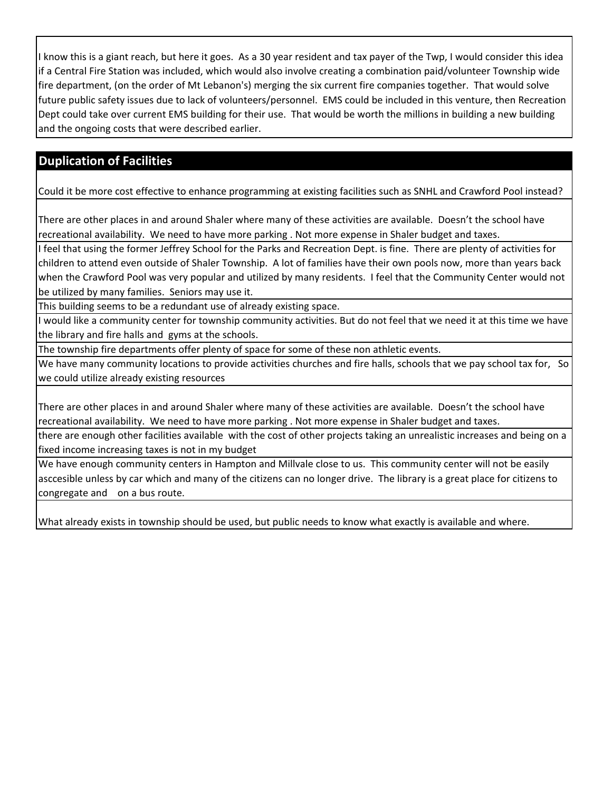I know this is a giant reach, but here it goes. As a 30 year resident and tax payer of the Twp, I would consider this idea if a Central Fire Station was included, which would also involve creating a combination paid/volunteer Township wide fire department, (on the order of Mt Lebanon's) merging the six current fire companies together. That would solve future public safety issues due to lack of volunteers/personnel. EMS could be included in this venture, then Recreation Dept could take over current EMS building for their use. That would be worth the millions in building a new building and the ongoing costs that were described earlier.

# **Duplication of Facilities**

Could it be more cost effective to enhance programming at existing facilities such as SNHL and Crawford Pool instead?

There are other places in and around Shaler where many of these activities are available. Doesn't the school have recreational availability. We need to have more parking . Not more expense in Shaler budget and taxes.

I feel that using the former Jeffrey School for the Parks and Recreation Dept. is fine. There are plenty of activities for children to attend even outside of Shaler Township. A lot of families have their own pools now, more than years back when the Crawford Pool was very popular and utilized by many residents. I feel that the Community Center would not be utilized by many families. Seniors may use it.

This building seems to be a redundant use of already existing space.

I would like a community center for township community activities. But do not feel that we need it at this time we have the library and fire halls and gyms at the schools.

The township fire departments offer plenty of space for some of these non athletic events.

We have many community locations to provide activities churches and fire halls, schools that we pay school tax for, So we could utilize already existing resources

There are other places in and around Shaler where many of these activities are available. Doesn't the school have recreational availability. We need to have more parking . Not more expense in Shaler budget and taxes.

there are enough other facilities available with the cost of other projects taking an unrealistic increases and being on a fixed income increasing taxes is not in my budget

We have enough community centers in Hampton and Millvale close to us. This community center will not be easily asccesible unless by car which and many of the citizens can no longer drive. The library is a great place for citizens to congregate and on a bus route.

What already exists in township should be used, but public needs to know what exactly is available and where.